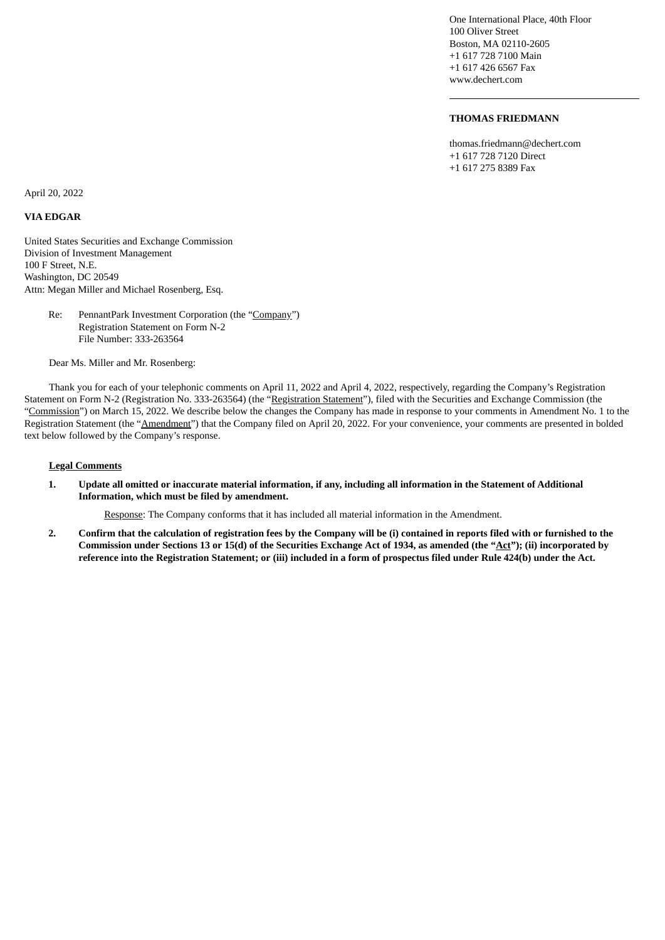One International Place, 40th Floor 100 Oliver Street Boston, MA 02110-2605 +1 617 728 7100 Main +1 617 426 6567 Fax www.dechert.com

## **THOMAS FRIEDMANN**

thomas.friedmann@dechert.com +1 617 728 7120 Direct +1 617 275 8389 Fax

April 20, 2022

## **VIA EDGAR**

United States Securities and Exchange Commission Division of Investment Management 100 F Street, N.E. Washington, DC 20549 Attn: Megan Miller and Michael Rosenberg, Esq.

> Re: PennantPark Investment Corporation (the "Company") Registration Statement on Form N-2 File Number: 333-263564

Dear Ms. Miller and Mr. Rosenberg:

Thank you for each of your telephonic comments on April 11, 2022 and April 4, 2022, respectively, regarding the Company's Registration Statement on Form N-2 (Registration No. 333-263564) (the "Registration Statement"), filed with the Securities and Exchange Commission (the "Commission") on March 15, 2022. We describe below the changes the Company has made in response to your comments in Amendment No. 1 to the Registration Statement (the "Amendment") that the Company filed on April 20, 2022. For your convenience, your comments are presented in bolded text below followed by the Company's response.

## **Legal Comments**

1. Update all omitted or inaccurate material information, if any, including all information in the Statement of Additional **Information, which must be filed by amendment.**

Response: The Company conforms that it has included all material information in the Amendment.

2. Confirm that the calculation of registration fees by the Company will be (i) contained in reports filed with or furnished to the Commission under Sections 13 or 15(d) of the Securities Exchange Act of 1934, as amended (the "Act"); (ii) incorporated by reference into the Registration Statement; or (iii) included in a form of prospectus filed under Rule 424(b) under the Act.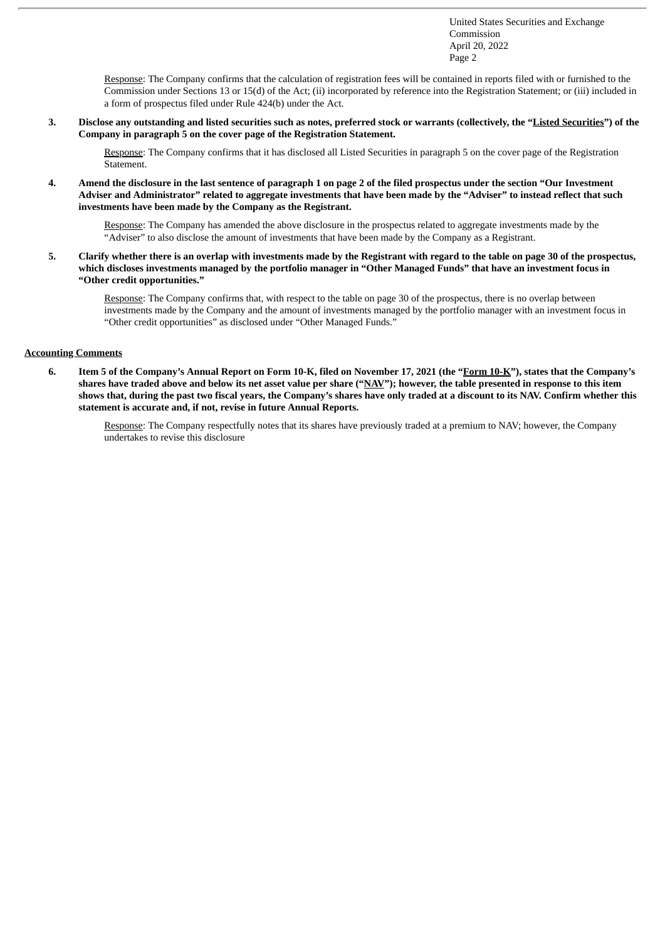United States Securities and Exchange Commission April 20, 2022 Page 2

Response: The Company confirms that the calculation of registration fees will be contained in reports filed with or furnished to the Commission under Sections 13 or 15(d) of the Act; (ii) incorporated by reference into the Registration Statement; or (iii) included in a form of prospectus filed under Rule 424(b) under the Act.

3. Disclose any outstanding and listed securities such as notes, preferred stock or warrants (collectively, the "Listed Securities") of the **Company in paragraph 5 on the cover page of the Registration Statement.**

Response: The Company confirms that it has disclosed all Listed Securities in paragraph 5 on the cover page of the Registration Statement.

4. Amend the disclosure in the last sentence of paragraph 1 on page 2 of the filed prospectus under the section "Our Investment Adviser and Administrator" related to aggregate investments that have been made by the "Adviser" to instead reflect that such **investments have been made by the Company as the Registrant.**

Response: The Company has amended the above disclosure in the prospectus related to aggregate investments made by the "Adviser" to also disclose the amount of investments that have been made by the Company as a Registrant.

5. Clarify whether there is an overlap with investments made by the Registrant with regard to the table on page 30 of the prospectus, which discloses investments managed by the portfolio manager in "Other Managed Funds" that have an investment focus in **"Other credit opportunities."**

Response: The Company confirms that, with respect to the table on page 30 of the prospectus, there is no overlap between investments made by the Company and the amount of investments managed by the portfolio manager with an investment focus in "Other credit opportunities" as disclosed under "Other Managed Funds."

## **Accounting Comments**

6. Item 5 of the Company's Annual Report on Form 10-K, filed on November 17, 2021 (the "Form 10-K"), states that the Company's shares have traded above and below its net asset value per share ("NAV"); however, the table presented in response to this item shows that, during the past two fiscal years, the Company's shares have only traded at a discount to its NAV. Confirm whether this **statement is accurate and, if not, revise in future Annual Reports.**

Response: The Company respectfully notes that its shares have previously traded at a premium to NAV; however, the Company undertakes to revise this disclosure